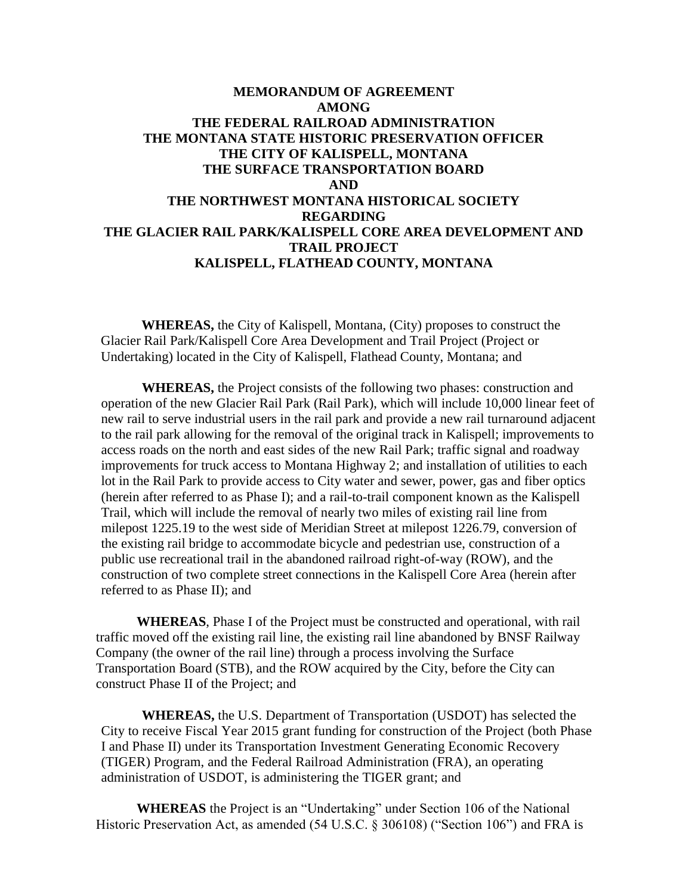# **MEMORANDUM OF AGREEMENT AMONG THE FEDERAL RAILROAD ADMINISTRATION THE MONTANA STATE HISTORIC PRESERVATION OFFICER THE CITY OF KALISPELL, MONTANA THE SURFACE TRANSPORTATION BOARD AND THE NORTHWEST MONTANA HISTORICAL SOCIETY REGARDING THE GLACIER RAIL PARK/KALISPELL CORE AREA DEVELOPMENT AND TRAIL PROJECT KALISPELL, FLATHEAD COUNTY, MONTANA**

**WHEREAS,** the City of Kalispell, Montana, (City) proposes to construct the Glacier Rail Park/Kalispell Core Area Development and Trail Project (Project or Undertaking) located in the City of Kalispell, Flathead County, Montana; and

**WHEREAS,** the Project consists of the following two phases: construction and operation of the new Glacier Rail Park (Rail Park), which will include 10,000 linear feet of new rail to serve industrial users in the rail park and provide a new rail turnaround adjacent to the rail park allowing for the removal of the original track in Kalispell; improvements to access roads on the north and east sides of the new Rail Park; traffic signal and roadway improvements for truck access to Montana Highway 2; and installation of utilities to each lot in the Rail Park to provide access to City water and sewer, power, gas and fiber optics (herein after referred to as Phase I); and a rail-to-trail component known as the Kalispell Trail, which will include the removal of nearly two miles of existing rail line from milepost 1225.19 to the west side of Meridian Street at milepost 1226.79, conversion of the existing rail bridge to accommodate bicycle and pedestrian use, construction of a public use recreational trail in the abandoned railroad right-of-way (ROW), and the construction of two complete street connections in the Kalispell Core Area (herein after referred to as Phase II); and

**WHEREAS**, Phase I of the Project must be constructed and operational, with rail traffic moved off the existing rail line, the existing rail line abandoned by BNSF Railway Company (the owner of the rail line) through a process involving the Surface Transportation Board (STB), and the ROW acquired by the City, before the City can construct Phase II of the Project; and

**WHEREAS,** the U.S. Department of Transportation (USDOT) has selected the City to receive Fiscal Year 2015 grant funding for construction of the Project (both Phase I and Phase II) under its Transportation Investment Generating Economic Recovery (TIGER) Program, and the Federal Railroad Administration (FRA), an operating administration of USDOT, is administering the TIGER grant; and

**WHEREAS** the Project is an "Undertaking" under Section 106 of the National Historic Preservation Act, as amended (54 U.S.C. § 306108) ("Section 106") and FRA is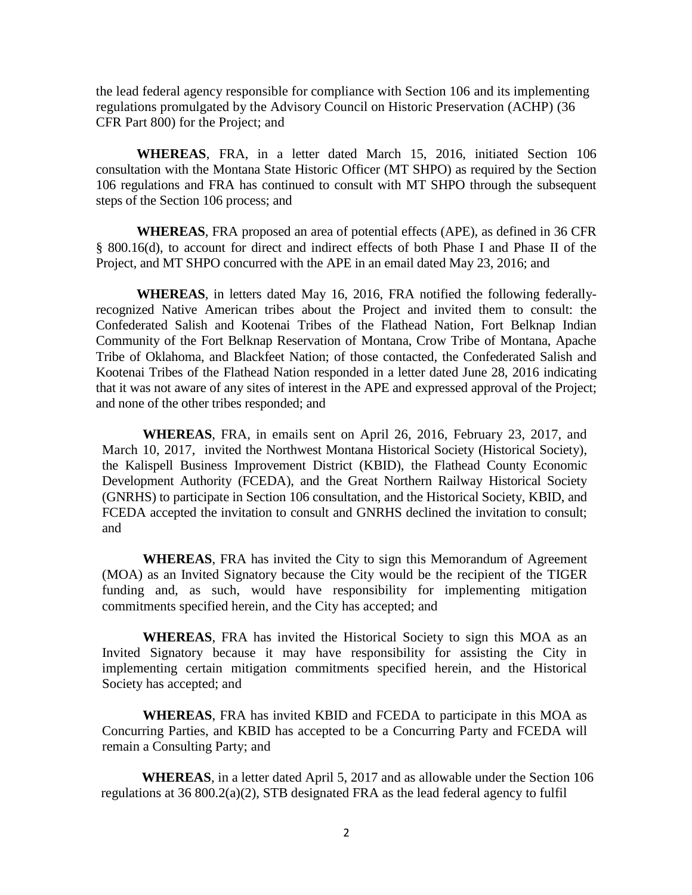the lead federal agency responsible for compliance with Section 106 and its implementing regulations promulgated by the Advisory Council on Historic Preservation (ACHP) (36 CFR Part 800) for the Project; and

**WHEREAS**, FRA, in a letter dated March 15, 2016, initiated Section 106 consultation with the Montana State Historic Officer (MT SHPO) as required by the Section 106 regulations and FRA has continued to consult with MT SHPO through the subsequent steps of the Section 106 process; and

**WHEREAS**, FRA proposed an area of potential effects (APE), as defined in 36 CFR § 800.16(d), to account for direct and indirect effects of both Phase I and Phase II of the Project, and MT SHPO concurred with the APE in an email dated May 23, 2016; and

**WHEREAS**, in letters dated May 16, 2016, FRA notified the following federallyrecognized Native American tribes about the Project and invited them to consult: the Confederated Salish and Kootenai Tribes of the Flathead Nation, Fort Belknap Indian Community of the Fort Belknap Reservation of Montana, Crow Tribe of Montana, Apache Tribe of Oklahoma, and Blackfeet Nation; of those contacted, the Confederated Salish and Kootenai Tribes of the Flathead Nation responded in a letter dated June 28, 2016 indicating that it was not aware of any sites of interest in the APE and expressed approval of the Project; and none of the other tribes responded; and

**WHEREAS**, FRA, in emails sent on April 26, 2016, February 23, 2017, and March 10, 2017, invited the Northwest Montana Historical Society (Historical Society), the Kalispell Business Improvement District (KBID), the Flathead County Economic Development Authority (FCEDA), and the Great Northern Railway Historical Society (GNRHS) to participate in Section 106 consultation, and the Historical Society, KBID, and FCEDA accepted the invitation to consult and GNRHS declined the invitation to consult; and

**WHEREAS**, FRA has invited the City to sign this Memorandum of Agreement (MOA) as an Invited Signatory because the City would be the recipient of the TIGER funding and, as such, would have responsibility for implementing mitigation commitments specified herein, and the City has accepted; and

**WHEREAS**, FRA has invited the Historical Society to sign this MOA as an Invited Signatory because it may have responsibility for assisting the City in implementing certain mitigation commitments specified herein, and the Historical Society has accepted; and

**WHEREAS**, FRA has invited KBID and FCEDA to participate in this MOA as Concurring Parties, and KBID has accepted to be a Concurring Party and FCEDA will remain a Consulting Party; and

**WHEREAS**, in a letter dated April 5, 2017 and as allowable under the Section 106 regulations at 36 800.2(a)(2), STB designated FRA as the lead federal agency to fulfil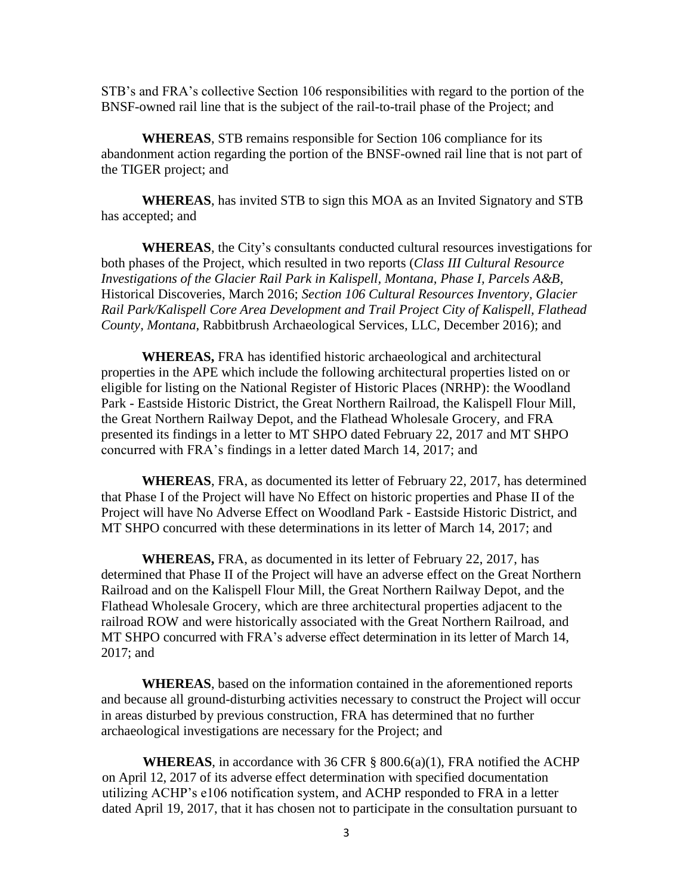STB's and FRA's collective Section 106 responsibilities with regard to the portion of the BNSF-owned rail line that is the subject of the rail-to-trail phase of the Project; and

**WHEREAS**, STB remains responsible for Section 106 compliance for its abandonment action regarding the portion of the BNSF-owned rail line that is not part of the TIGER project; and

**WHEREAS**, has invited STB to sign this MOA as an Invited Signatory and STB has accepted; and

**WHEREAS**, the City's consultants conducted cultural resources investigations for both phases of the Project, which resulted in two reports (*Class III Cultural Resource Investigations of the Glacier Rail Park in Kalispell, Montana, Phase I, Parcels A&B*, Historical Discoveries, March 2016; *Section 106 Cultural Resources Inventory, Glacier Rail Park/Kalispell Core Area Development and Trail Project City of Kalispell, Flathead County, Montana*, Rabbitbrush Archaeological Services, LLC, December 2016); and

**WHEREAS,** FRA has identified historic archaeological and architectural properties in the APE which include the following architectural properties listed on or eligible for listing on the National Register of Historic Places (NRHP): the Woodland Park - Eastside Historic District, the Great Northern Railroad, the Kalispell Flour Mill, the Great Northern Railway Depot, and the Flathead Wholesale Grocery, and FRA presented its findings in a letter to MT SHPO dated February 22, 2017 and MT SHPO concurred with FRA's findings in a letter dated March 14, 2017; and

**WHEREAS**, FRA, as documented its letter of February 22, 2017, has determined that Phase I of the Project will have No Effect on historic properties and Phase II of the Project will have No Adverse Effect on Woodland Park - Eastside Historic District, and MT SHPO concurred with these determinations in its letter of March 14, 2017; and

**WHEREAS,** FRA, as documented in its letter of February 22, 2017, has determined that Phase II of the Project will have an adverse effect on the Great Northern Railroad and on the Kalispell Flour Mill, the Great Northern Railway Depot, and the Flathead Wholesale Grocery, which are three architectural properties adjacent to the railroad ROW and were historically associated with the Great Northern Railroad, and MT SHPO concurred with FRA's adverse effect determination in its letter of March 14, 2017; and

**WHEREAS**, based on the information contained in the aforementioned reports and because all ground-disturbing activities necessary to construct the Project will occur in areas disturbed by previous construction, FRA has determined that no further archaeological investigations are necessary for the Project; and

**WHEREAS**, in accordance with 36 CFR § 800.6(a)(1), FRA notified the ACHP on April 12, 2017 of its adverse effect determination with specified documentation utilizing ACHP's e106 notification system, and ACHP responded to FRA in a letter dated April 19, 2017, that it has chosen not to participate in the consultation pursuant to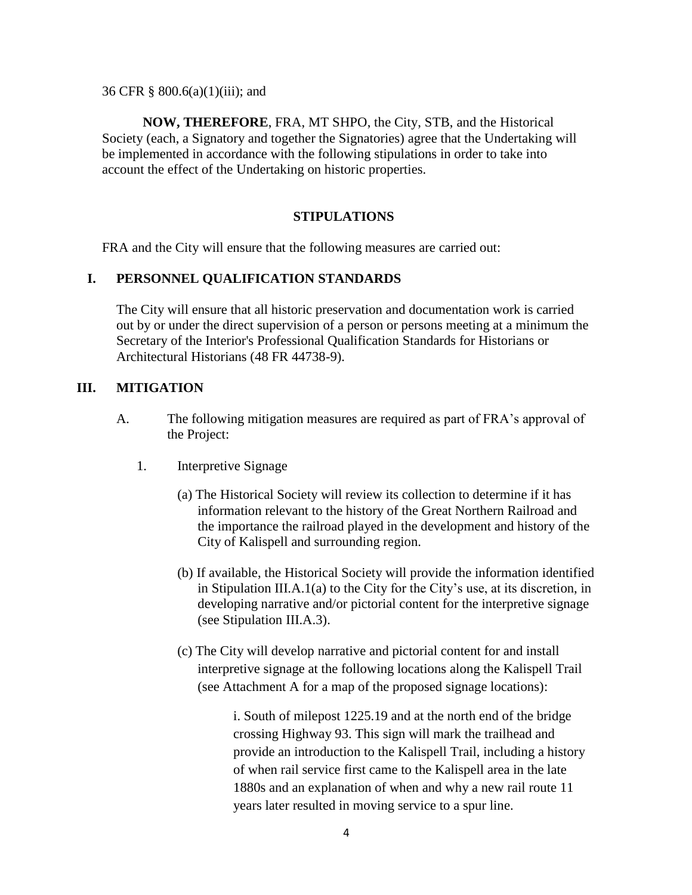36 CFR § 800.6(a)(1)(iii); and

**NOW, THEREFORE**, FRA, MT SHPO, the City, STB, and the Historical Society (each, a Signatory and together the Signatories) agree that the Undertaking will be implemented in accordance with the following stipulations in order to take into account the effect of the Undertaking on historic properties.

## **STIPULATIONS**

FRA and the City will ensure that the following measures are carried out:

#### **I. PERSONNEL QUALIFICATION STANDARDS**

The City will ensure that all historic preservation and documentation work is carried out by or under the direct supervision of a person or persons meeting at a minimum the Secretary of the Interior's Professional Qualification Standards for Historians or Architectural Historians (48 FR 44738-9).

### **III. MITIGATION**

- A. The following mitigation measures are required as part of FRA's approval of the Project:
	- 1. Interpretive Signage
		- (a) The Historical Society will review its collection to determine if it has information relevant to the history of the Great Northern Railroad and the importance the railroad played in the development and history of the City of Kalispell and surrounding region.
		- (b) If available, the Historical Society will provide the information identified in Stipulation III.A.1(a) to the City for the City's use, at its discretion, in developing narrative and/or pictorial content for the interpretive signage (see Stipulation III.A.3).
		- (c) The City will develop narrative and pictorial content for and install interpretive signage at the following locations along the Kalispell Trail (see Attachment A for a map of the proposed signage locations):

i. South of milepost 1225.19 and at the north end of the bridge crossing Highway 93. This sign will mark the trailhead and provide an introduction to the Kalispell Trail, including a history of when rail service first came to the Kalispell area in the late 1880s and an explanation of when and why a new rail route 11 years later resulted in moving service to a spur line.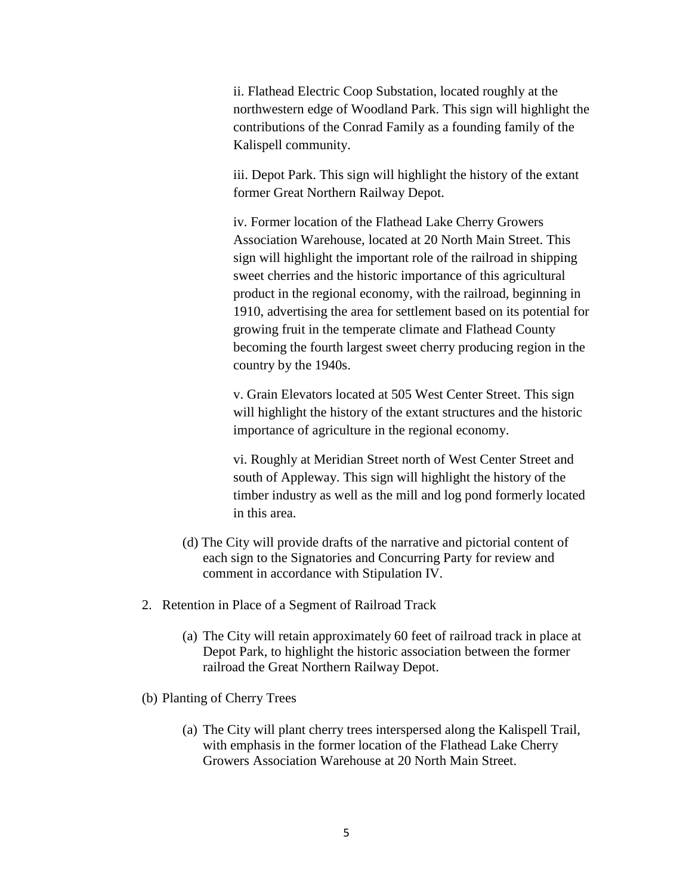ii. Flathead Electric Coop Substation, located roughly at the northwestern edge of Woodland Park. This sign will highlight the contributions of the Conrad Family as a founding family of the Kalispell community.

iii. Depot Park. This sign will highlight the history of the extant former Great Northern Railway Depot.

iv. Former location of the Flathead Lake Cherry Growers Association Warehouse, located at 20 North Main Street. This sign will highlight the important role of the railroad in shipping sweet cherries and the historic importance of this agricultural product in the regional economy, with the railroad, beginning in 1910, advertising the area for settlement based on its potential for growing fruit in the temperate climate and Flathead County becoming the fourth largest sweet cherry producing region in the country by the 1940s.

v. Grain Elevators located at 505 West Center Street. This sign will highlight the history of the extant structures and the historic importance of agriculture in the regional economy.

vi. Roughly at Meridian Street north of West Center Street and south of Appleway. This sign will highlight the history of the timber industry as well as the mill and log pond formerly located in this area.

- (d) The City will provide drafts of the narrative and pictorial content of each sign to the Signatories and Concurring Party for review and comment in accordance with Stipulation IV.
- 2. Retention in Place of a Segment of Railroad Track
	- (a) The City will retain approximately 60 feet of railroad track in place at Depot Park, to highlight the historic association between the former railroad the Great Northern Railway Depot.
- (b) Planting of Cherry Trees
	- (a) The City will plant cherry trees interspersed along the Kalispell Trail, with emphasis in the former location of the Flathead Lake Cherry Growers Association Warehouse at 20 North Main Street.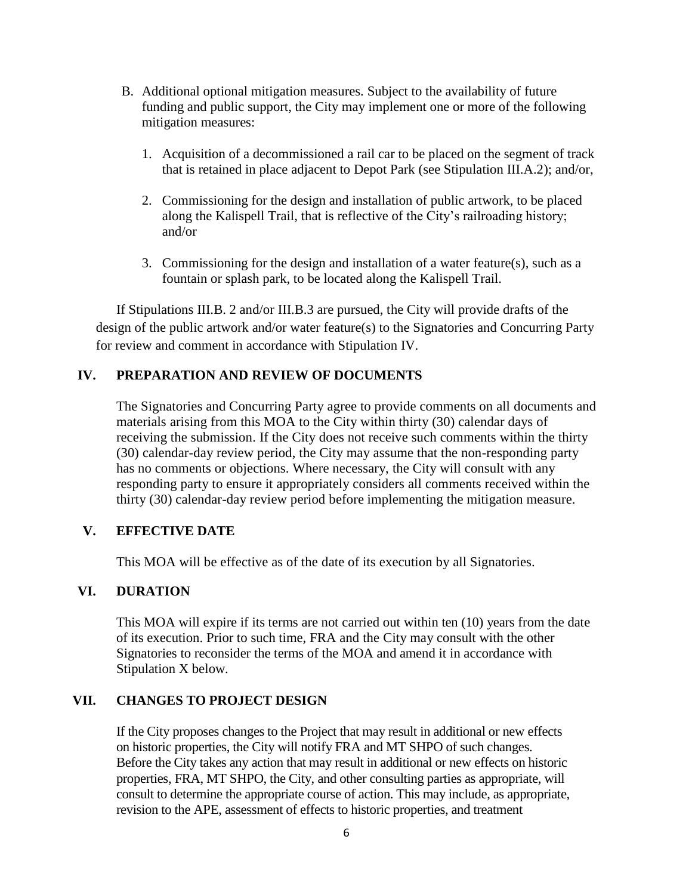- B. Additional optional mitigation measures. Subject to the availability of future funding and public support, the City may implement one or more of the following mitigation measures:
	- 1. Acquisition of a decommissioned a rail car to be placed on the segment of track that is retained in place adjacent to Depot Park (see Stipulation III.A.2); and/or,
	- 2. Commissioning for the design and installation of public artwork, to be placed along the Kalispell Trail, that is reflective of the City's railroading history; and/or
	- 3. Commissioning for the design and installation of a water feature(s), such as a fountain or splash park, to be located along the Kalispell Trail.

If Stipulations III.B. 2 and/or III.B.3 are pursued, the City will provide drafts of the design of the public artwork and/or water feature(s) to the Signatories and Concurring Party for review and comment in accordance with Stipulation IV.

## **IV. PREPARATION AND REVIEW OF DOCUMENTS**

The Signatories and Concurring Party agree to provide comments on all documents and materials arising from this MOA to the City within thirty (30) calendar days of receiving the submission. If the City does not receive such comments within the thirty (30) calendar-day review period, the City may assume that the non-responding party has no comments or objections. Where necessary, the City will consult with any responding party to ensure it appropriately considers all comments received within the thirty (30) calendar-day review period before implementing the mitigation measure.

# **V. EFFECTIVE DATE**

This MOA will be effective as of the date of its execution by all Signatories.

## **VI. DURATION**

This MOA will expire if its terms are not carried out within ten (10) years from the date of its execution. Prior to such time, FRA and the City may consult with the other Signatories to reconsider the terms of the MOA and amend it in accordance with Stipulation X below*.*

## **VII. CHANGES TO PROJECT DESIGN**

If the City proposes changes to the Project that may result in additional or new effects on historic properties, the City will notify FRA and MT SHPO of such changes. Before the City takes any action that may result in additional or new effects on historic properties, FRA, MT SHPO, the City, and other consulting parties as appropriate, will consult to determine the appropriate course of action. This may include, as appropriate, revision to the APE, assessment of effects to historic properties, and treatment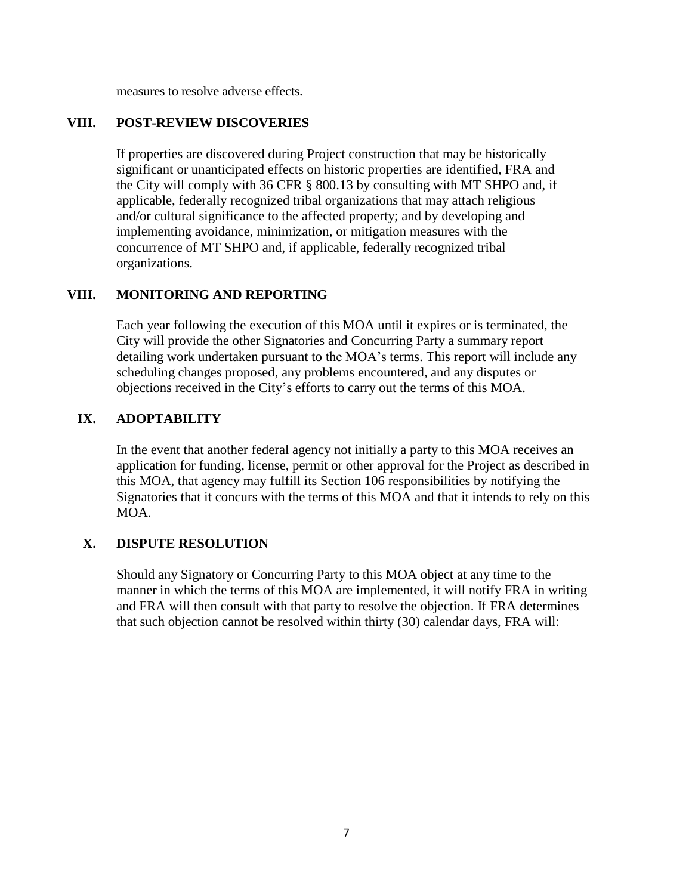measures to resolve adverse effects.

## **VIII. POST-REVIEW DISCOVERIES**

If properties are discovered during Project construction that may be historically significant or unanticipated effects on historic properties are identified, FRA and the City will comply with 36 CFR § 800.13 by consulting with MT SHPO and, if applicable, federally recognized tribal organizations that may attach religious and/or cultural significance to the affected property; and by developing and implementing avoidance, minimization, or mitigation measures with the concurrence of MT SHPO and, if applicable, federally recognized tribal organizations.

# **VIII. MONITORING AND REPORTING**

Each year following the execution of this MOA until it expires or is terminated, the City will provide the other Signatories and Concurring Party a summary report detailing work undertaken pursuant to the MOA's terms. This report will include any scheduling changes proposed, any problems encountered, and any disputes or objections received in the City's efforts to carry out the terms of this MOA.

# **IX. ADOPTABILITY**

In the event that another federal agency not initially a party to this MOA receives an application for funding, license, permit or other approval for the Project as described in this MOA, that agency may fulfill its Section 106 responsibilities by notifying the Signatories that it concurs with the terms of this MOA and that it intends to rely on this MOA.

# **X. DISPUTE RESOLUTION**

Should any Signatory or Concurring Party to this MOA object at any time to the manner in which the terms of this MOA are implemented, it will notify FRA in writing and FRA will then consult with that party to resolve the objection. If FRA determines that such objection cannot be resolved within thirty (30) calendar days, FRA will: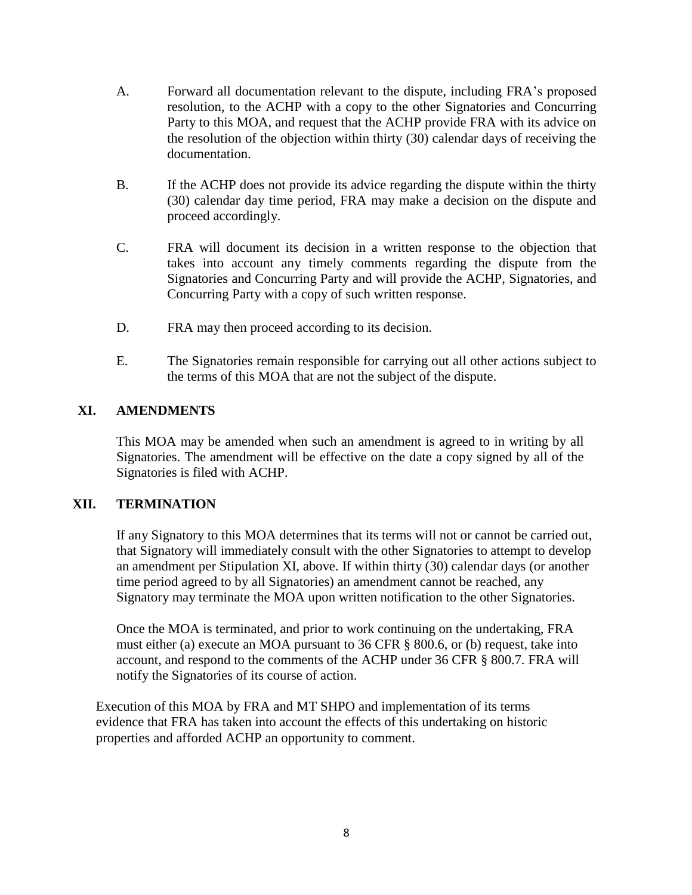- A. Forward all documentation relevant to the dispute, including FRA's proposed resolution, to the ACHP with a copy to the other Signatories and Concurring Party to this MOA, and request that the ACHP provide FRA with its advice on the resolution of the objection within thirty (30) calendar days of receiving the documentation.
- B. If the ACHP does not provide its advice regarding the dispute within the thirty (30) calendar day time period, FRA may make a decision on the dispute and proceed accordingly.
- C. FRA will document its decision in a written response to the objection that takes into account any timely comments regarding the dispute from the Signatories and Concurring Party and will provide the ACHP, Signatories, and Concurring Party with a copy of such written response.
- D. FRA may then proceed according to its decision.
- E. The Signatories remain responsible for carrying out all other actions subject to the terms of this MOA that are not the subject of the dispute.

# **XI. AMENDMENTS**

This MOA may be amended when such an amendment is agreed to in writing by all Signatories. The amendment will be effective on the date a copy signed by all of the Signatories is filed with ACHP.

## **XII. TERMINATION**

If any Signatory to this MOA determines that its terms will not or cannot be carried out, that Signatory will immediately consult with the other Signatories to attempt to develop an amendment per Stipulation XI, above. If within thirty (30) calendar days (or another time period agreed to by all Signatories) an amendment cannot be reached, any Signatory may terminate the MOA upon written notification to the other Signatories.

Once the MOA is terminated, and prior to work continuing on the undertaking, FRA must either (a) execute an MOA pursuant to 36 CFR § 800.6, or (b) request, take into account, and respond to the comments of the ACHP under 36 CFR § 800.7. FRA will notify the Signatories of its course of action.

Execution of this MOA by FRA and MT SHPO and implementation of its terms evidence that FRA has taken into account the effects of this undertaking on historic properties and afforded ACHP an opportunity to comment.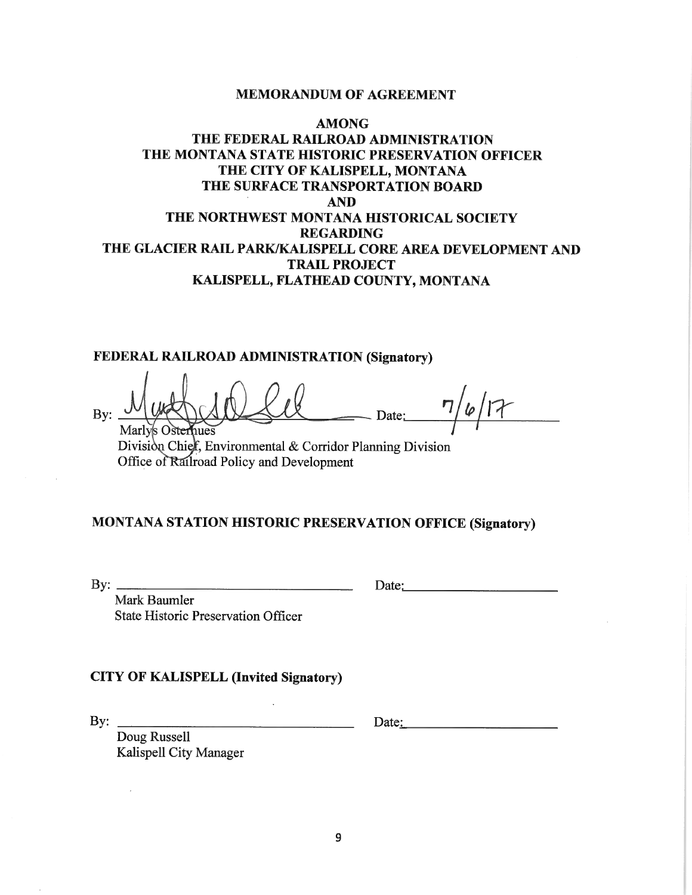#### **MEMORANDUM OF AGREEMENT**

# **AMONG** THE FEDERAL RAILROAD ADMINISTRATION THE MONTANA STATE HISTORIC PRESERVATION OFFICER THE CITY OF KALISPELL, MONTANA THE SURFACE TRANSPORTATION BOARD **AND** THE NORTHWEST MONTANA HISTORICAL SOCIETY **REGARDING** THE GLACIER RAIL PARK/KALISPELL CORE AREA DEVELOPMENT AND **TRAIL PROJECT** KALISPELL, FLATHEAD COUNTY, MONTANA

## FEDERAL RAILROAD ADMINISTRATION (Signatory)

 $7/6/17$ By: - Date: Marly's Osternues

Division Chief, Environmental & Corridor Planning Division Office of Railroad Policy and Development

<u> 1989 - Jan Barnett, fransk politik (d. 1989)</u>

# MONTANA STATION HISTORIC PRESERVATION OFFICE (Signatory)

By:  $\frac{1}{\sqrt{1-\frac{1}{2}}\sqrt{1-\frac{1}{2}}\sqrt{1-\frac{1}{2}}\sqrt{1-\frac{1}{2}}\sqrt{1-\frac{1}{2}}\sqrt{1-\frac{1}{2}}\sqrt{1-\frac{1}{2}}\sqrt{1-\frac{1}{2}}\sqrt{1-\frac{1}{2}}\sqrt{1-\frac{1}{2}}\sqrt{1-\frac{1}{2}}\sqrt{1-\frac{1}{2}}\sqrt{1-\frac{1}{2}}\sqrt{1-\frac{1}{2}}\sqrt{1-\frac{1}{2}}\sqrt{1-\frac{1}{2}}\sqrt{1-\frac{1}{2}}\sqrt{1-\frac{1}{2}}\sqrt{1-\frac{1}{2}}\sqrt$ 

Date:

Mark Baumler **State Historic Preservation Officer** 

#### **CITY OF KALISPELL (Invited Signatory)**

By:  $\qquad \qquad$ 

Date:

Doug Russell Kalispell City Manager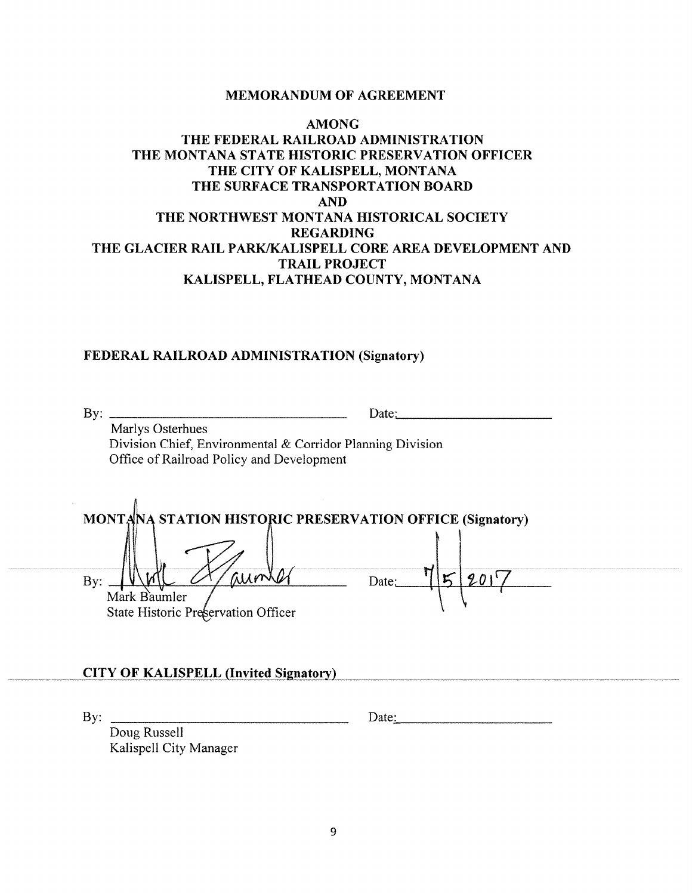#### **MEMORANDUM OF AGREEMENT**

# **AMONG** THE FEDERAL RAILROAD ADMINISTRATION THE MONTANA STATE HISTORIC PRESERVATION OFFICER THE CITY OF KALISPELL, MONTANA THE SURFACE TRANSPORTATION BOARD **AND** THE NORTHWEST MONTANA HISTORICAL SOCIETY **REGARDING** THE GLACIER RAIL PARK/KALISPELL CORE AREA DEVELOPMENT AND **TRAIL PROJECT** KALISPELL, FLATHEAD COUNTY, MONTANA

#### FEDERAL RAILROAD ADMINISTRATION (Signatory)

Marlys Osterhues Division Chief, Environmental & Corridor Planning Division Office of Railroad Policy and Development

| MONTAINA STATION HISTORIC PRESERVATION OFFICE (Signatory) |       |
|-----------------------------------------------------------|-------|
|                                                           |       |
| Mark Baumler<br>State Historic Preservation Officer       | Date: |

#### **CITY OF KALISPELL (Invited Signatory)**

By:  $\qquad \qquad$ 

Date:

Doug Russell Kalispell City Manager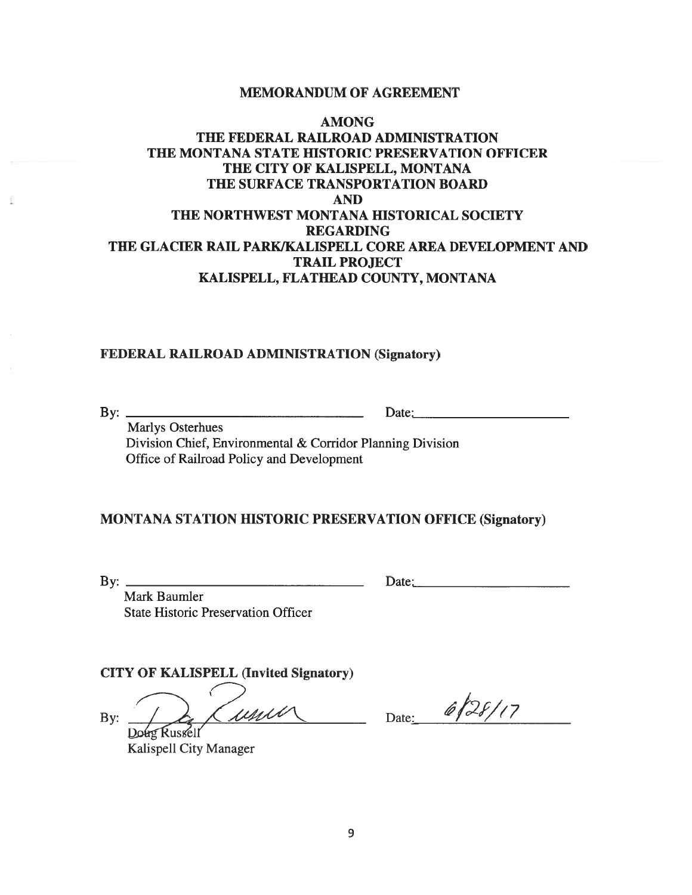#### MEMORANDUM OF AGREEMENT

# AMONG THE FEDERAL RAILROAD ADMINISTRATION THE MONTANA STATE HISTORIC PRESERVATION OFFICER THE CITY OF KALISPELL, MONTANA THE SURFACE TRANSPORTATION BOARD AND THE NORTHWEST MONTANA HISTORICAL SOCIETY REGARDING THE GLACIER RAIL PARK/KALISPELL CORE AREA DEVELOPMENT AND TRAIL PROJECT KALISPELL, FLATHEAD COUNTY, MONTANA

## FEDERAL RAILROAD ADMINISTRATION (Signatory)

By: Date:\_\_\_\_\_\_\_\_\_\_\_\_\_\_\_\_\_\_\_\_\_

Marlys Osterhues Division Chief, Environmental & Corridor Planning Division Office of Railroad Policy and Development

## MONTANA STATION HISTORIC PRESERVATION OFFICE (Signatory)

 $\text{By:}\n\begin{array}{ccc}\n\text{By:}\n\end{array}\n\begin{array}{ccc}\n\text{Date:}\n\end{array}$ 

Mark Baumler State Historic Preservation Officer

CITY OF KALISPELL (Invited Signatory)

Kalispell City Manager

By:  $\frac{1}{\log \text{Russell}}$  (usull Date: 6/28/17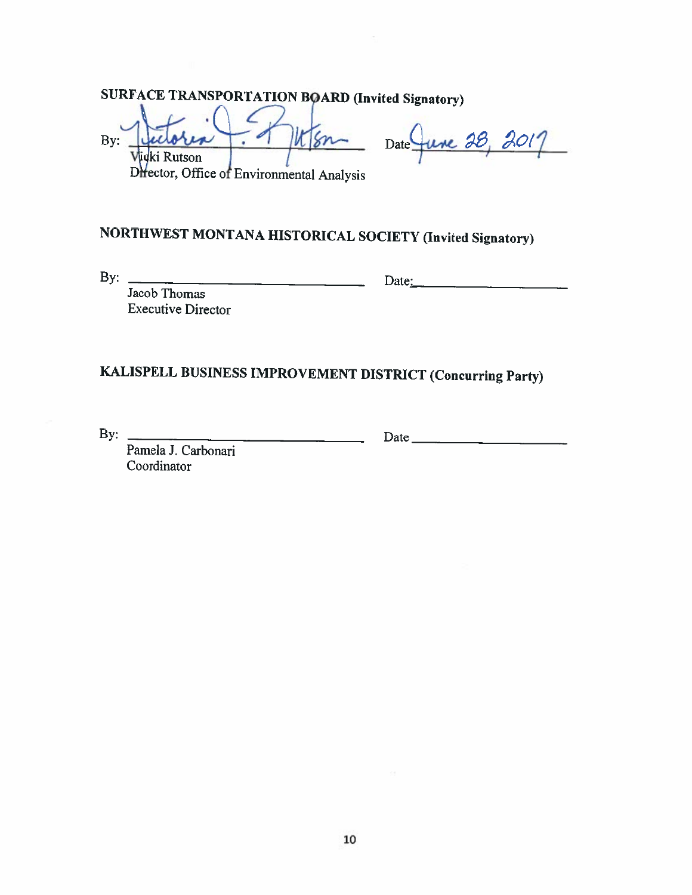**SURFACE TRANSPORTATION BOARD (Invited Signatory)** 

Sn By: × Vidki Rutson

 $-28.$ Date

Difector, Office of Environmental Analysis

# NORTHWEST MONTANA HISTORICAL SOCIETY (Invited Signatory)

By:  $\frac{1}{\sqrt{1-\frac{1}{2}}\sqrt{1-\frac{1}{2}}\sqrt{1-\frac{1}{2}}\sqrt{1-\frac{1}{2}}\sqrt{1-\frac{1}{2}}\sqrt{1-\frac{1}{2}}\sqrt{1-\frac{1}{2}}\sqrt{1-\frac{1}{2}}\sqrt{1-\frac{1}{2}}\sqrt{1-\frac{1}{2}}\sqrt{1-\frac{1}{2}}\sqrt{1-\frac{1}{2}}\sqrt{1-\frac{1}{2}}\sqrt{1-\frac{1}{2}}\sqrt{1-\frac{1}{2}}\sqrt{1-\frac{1}{2}}\sqrt{1-\frac{1}{2}}\sqrt{1-\frac{1}{2}}\sqrt{1-\frac{1}{2}}\sqrt$ 

 $Date:$   $\qquad \qquad$   $\qquad \qquad$   $\qquad \qquad$   $\qquad \qquad$   $\qquad \qquad$   $\qquad \qquad$   $\qquad \qquad$   $\qquad \qquad$   $\qquad \qquad$   $\qquad \qquad$   $\qquad \qquad$   $\qquad \qquad$   $\qquad \qquad$   $\qquad \qquad$   $\qquad \qquad$   $\qquad$   $\qquad \qquad$   $\qquad$   $\qquad$   $\qquad$   $\qquad$   $\qquad$   $\qquad$   $\qquad$   $\qquad$   $\qquad$   $\qquad$   $\qquad$ 

Jacob Thomas **Executive Director** 

# KALISPELL BUSINESS IMPROVEMENT DISTRICT (Concurring Party)

By:  $\qquad \qquad$ Pamela J. Carbonari Coordinator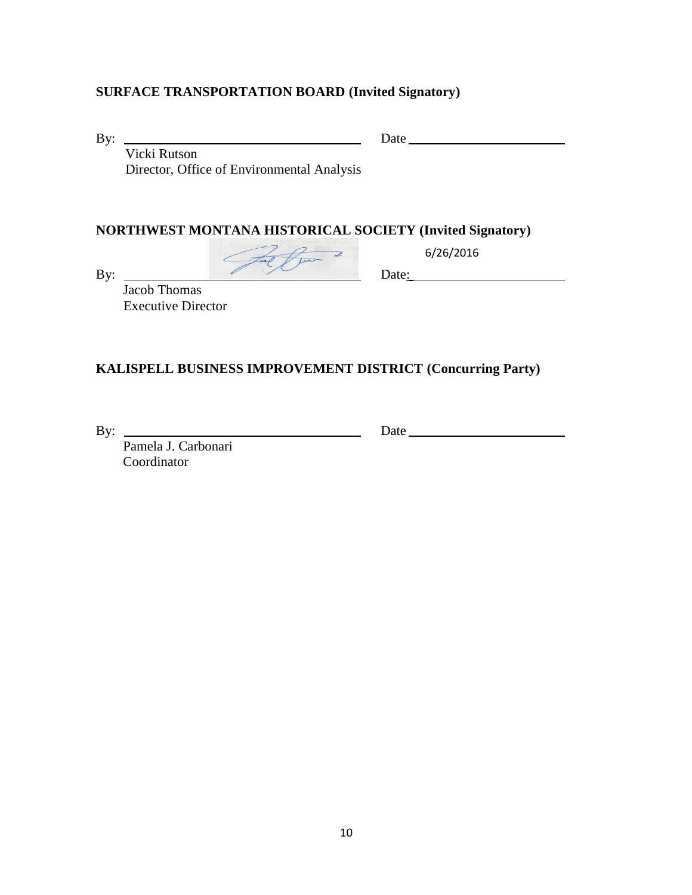# **SURFACE TRANSPORTATION BOARD (Invited Signatory)**

By: Date

 Vicki Rutson Director, Office of Environmental Analysis

 $\overline{a}$ 

## **NORTHWEST MONTANA HISTORICAL SOCIETY (Invited Signatory)**

 Jacob Thomas Executive Director

By:  $\sqrt{2\pi \epsilon f/m^2}$  6/26/2016 6/26/2016

# **KALISPELL BUSINESS IMPROVEMENT DISTRICT (Concurring Party)**

By: <u>Date</u>

 Pamela J. Carbonari Coordinator